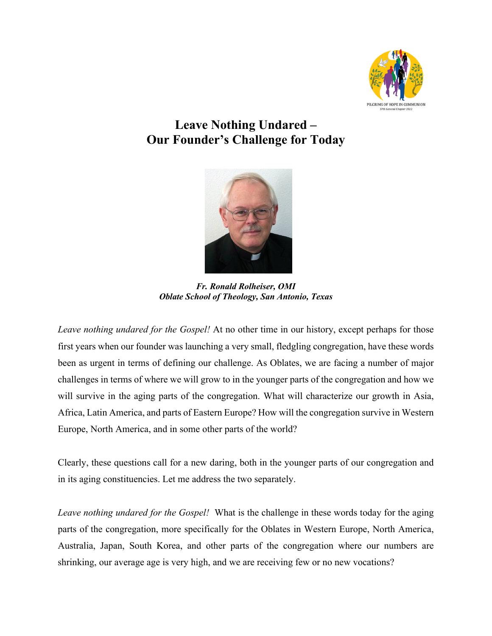

## **Leave Nothing Undared – Our Founder's Challenge for Today**



*Fr. Ronald Rolheiser, OMI Oblate School of Theology, San Antonio, Texas*

*Leave nothing undared for the Gospel!* At no other time in our history, except perhaps for those first years when our founder was launching a very small, fledgling congregation, have these words been as urgent in terms of defining our challenge. As Oblates, we are facing a number of major challenges in terms of where we will grow to in the younger parts of the congregation and how we will survive in the aging parts of the congregation. What will characterize our growth in Asia, Africa, Latin America, and parts of Eastern Europe? How will the congregation survive in Western Europe, North America, and in some other parts of the world?

Clearly, these questions call for a new daring, both in the younger parts of our congregation and in its aging constituencies. Let me address the two separately.

*Leave nothing undared for the Gospel!* What is the challenge in these words today for the aging parts of the congregation, more specifically for the Oblates in Western Europe, North America, Australia, Japan, South Korea, and other parts of the congregation where our numbers are shrinking, our average age is very high, and we are receiving few or no new vocations?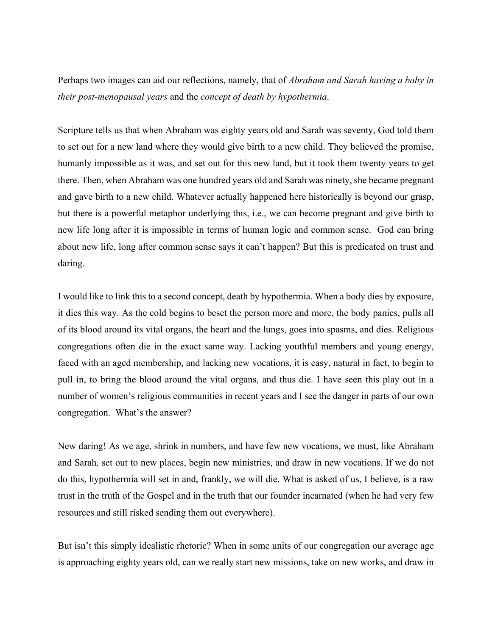Perhaps two images can aid our reflections, namely, that of *Abraham and Sarah having a baby in their post-menopausal years* and the *concept of death by hypothermia*.

Scripture tells us that when Abraham was eighty years old and Sarah was seventy, God told them to set out for a new land where they would give birth to a new child. They believed the promise, humanly impossible as it was, and set out for this new land, but it took them twenty years to get there. Then, when Abraham was one hundred years old and Sarah was ninety, she became pregnant and gave birth to a new child. Whatever actually happened here historically is beyond our grasp, but there is a powerful metaphor underlying this, i.e., we can become pregnant and give birth to new life long after it is impossible in terms of human logic and common sense. God can bring about new life, long after common sense says it can't happen? But this is predicated on trust and daring.

I would like to link this to a second concept, death by hypothermia. When a body dies by exposure, it dies this way. As the cold begins to beset the person more and more, the body panics, pulls all of its blood around its vital organs, the heart and the lungs, goes into spasms, and dies. Religious congregations often die in the exact same way. Lacking youthful members and young energy, faced with an aged membership, and lacking new vocations, it is easy, natural in fact, to begin to pull in, to bring the blood around the vital organs, and thus die. I have seen this play out in a number of women's religious communities in recent years and I see the danger in parts of our own congregation. What's the answer?

New daring! As we age, shrink in numbers, and have few new vocations, we must, like Abraham and Sarah, set out to new places, begin new ministries, and draw in new vocations. If we do not do this, hypothermia will set in and, frankly, we will die. What is asked of us, I believe, is a raw trust in the truth of the Gospel and in the truth that our founder incarnated (when he had very few resources and still risked sending them out everywhere).

But isn't this simply idealistic rhetoric? When in some units of our congregation our average age is approaching eighty years old, can we really start new missions, take on new works, and draw in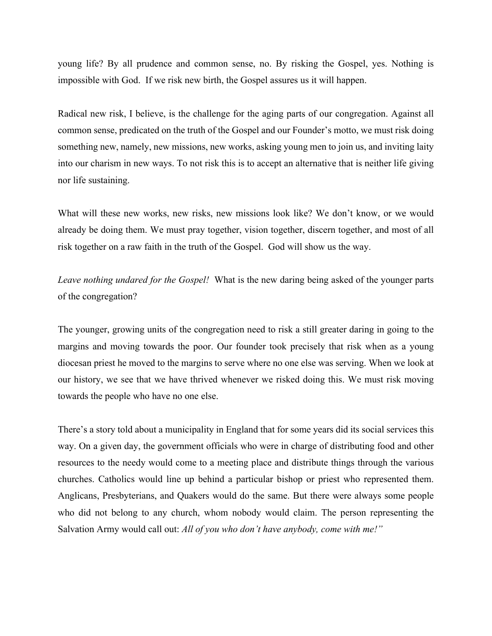young life? By all prudence and common sense, no. By risking the Gospel, yes. Nothing is impossible with God. If we risk new birth, the Gospel assures us it will happen.

Radical new risk, I believe, is the challenge for the aging parts of our congregation. Against all common sense, predicated on the truth of the Gospel and our Founder's motto, we must risk doing something new, namely, new missions, new works, asking young men to join us, and inviting laity into our charism in new ways. To not risk this is to accept an alternative that is neither life giving nor life sustaining.

What will these new works, new risks, new missions look like? We don't know, or we would already be doing them. We must pray together, vision together, discern together, and most of all risk together on a raw faith in the truth of the Gospel. God will show us the way.

*Leave nothing undared for the Gospel!* What is the new daring being asked of the younger parts of the congregation?

The younger, growing units of the congregation need to risk a still greater daring in going to the margins and moving towards the poor. Our founder took precisely that risk when as a young diocesan priest he moved to the margins to serve where no one else was serving. When we look at our history, we see that we have thrived whenever we risked doing this. We must risk moving towards the people who have no one else.

There's a story told about a municipality in England that for some years did its social services this way. On a given day, the government officials who were in charge of distributing food and other resources to the needy would come to a meeting place and distribute things through the various churches. Catholics would line up behind a particular bishop or priest who represented them. Anglicans, Presbyterians, and Quakers would do the same. But there were always some people who did not belong to any church, whom nobody would claim. The person representing the Salvation Army would call out: *All of you who don't have anybody, come with me!"*